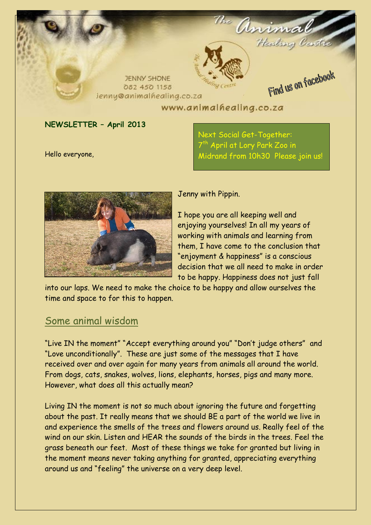

#### **NEWSLETTER – April 2013**

Hello everyone,

Next Social Get-Together: 7 th April at Lory Park Zoo in Midrand from 10h30 Please join us!



Jenny with Pippin.

I hope you are all keeping well and enjoying yourselves! In all my years of working with animals and learning from them, I have come to the conclusion that "enjoyment & happiness" is a conscious decision that we all need to make in order to be happy. Happiness does not just fall

into our laps. We need to make the choice to be happy and allow ourselves the time and space to for this to happen.

## Some animal wisdom

"Live IN the moment" "Accept everything around you" "Don't judge others" and "Love unconditionally". These are just some of the messages that I have received over and over again for many years from animals all around the world. From dogs, cats, snakes, wolves, lions, elephants, horses, pigs and many more. However, what does all this actually mean?

Living IN the moment is not so much about ignoring the future and forgetting about the past. It really means that we should BE a part of the world we live in and experience the smells of the trees and flowers around us. Really feel of the wind on our skin. Listen and HEAR the sounds of the birds in the trees. Feel the grass beneath our feet. Most of these things we take for granted but living in the moment means never taking anything for granted, appreciating everything around us and "feeling" the universe on a very deep level.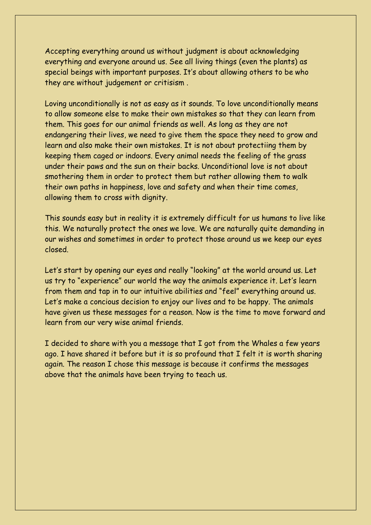Accepting everything around us without judgment is about acknowledging everything and everyone around us. See all living things (even the plants) as special beings with important purposes. It's about allowing others to be who they are without judgement or critisism .

Loving unconditionally is not as easy as it sounds. To love unconditionally means to allow someone else to make their own mistakes so that they can learn from them. This goes for our animal friends as well. As long as they are not endangering their lives, we need to give them the space they need to grow and learn and also make their own mistakes. It is not about protectiing them by keeping them caged or indoors. Every animal needs the feeling of the grass under their paws and the sun on their backs. Unconditional love is not about smothering them in order to protect them but rather allowing them to walk their own paths in happiness, love and safety and when their time comes, allowing them to cross with dignity.

This sounds easy but in reality it is extremely difficult for us humans to live like this. We naturally protect the ones we love. We are naturally quite demanding in our wishes and sometimes in order to protect those around us we keep our eyes closed.

Let's start by opening our eyes and really "looking" at the world around us. Let us try to "experience" our world the way the animals experience it. Let's learn from them and tap in to our intuitive abilities and "feel" everything around us. Let's make a concious decision to enjoy our lives and to be happy. The animals have given us these messages for a reason. Now is the time to move forward and learn from our very wise animal friends.

I decided to share with you a message that I got from the Whales a few years ago. I have shared it before but it is so profound that I felt it is worth sharing again. The reason I chose this message is because it confirms the messages above that the animals have been trying to teach us.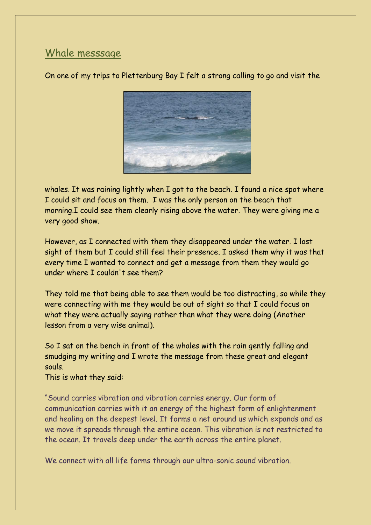# Whale messsage

On one of my trips to Plettenburg Bay I felt a strong calling to go and visit the



whales. It was raining lightly when I got to the beach. I found a nice spot where I could sit and focus on them. I was the only person on the beach that morning.I could see them clearly rising above the water. They were giving me a very good show.

However, as I connected with them they disappeared under the water. I lost sight of them but I could still feel their presence. I asked them why it was that every time I wanted to connect and get a message from them they would go under where I couldn't see them?

They told me that being able to see them would be too distracting, so while they were connecting with me they would be out of sight so that I could focus on what they were actually saying rather than what they were doing (Another lesson from a very wise animal).

So I sat on the bench in front of the whales with the rain gently falling and smudging my writing and I wrote the message from these great and elegant souls.

This is what they said:

"Sound carries vibration and vibration carries energy. Our form of communication carries with it an energy of the highest form of enlightenment and healing on the deepest level. It forms a net around us which expands and as we move it spreads through the entire ocean. This vibration is not restricted to the ocean. It travels deep under the earth across the entire planet.

We connect with all life forms through our ultra-sonic sound vibration.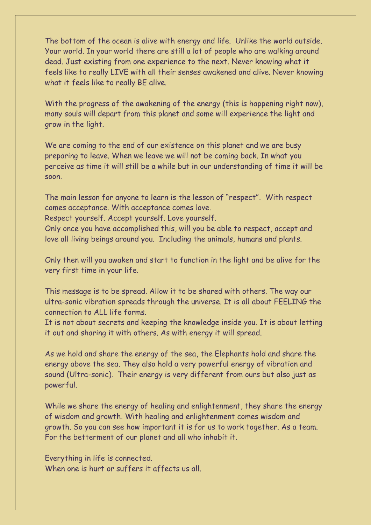The bottom of the ocean is alive with energy and life. Unlike the world outside. Your world. In your world there are still a lot of people who are walking around dead. Just existing from one experience to the next. Never knowing what it feels like to really LIVE with all their senses awakened and alive. Never knowing what it feels like to really BE alive.

With the progress of the awakening of the energy (this is happening right now), many souls will depart from this planet and some will experience the light and grow in the light.

We are coming to the end of our existence on this planet and we are busy preparing to leave. When we leave we will not be coming back. In what you perceive as time it will still be a while but in our understanding of time it will be soon.

The main lesson for anyone to learn is the lesson of "respect". With respect comes acceptance. With acceptance comes love.

Respect yourself. Accept yourself. Love yourself.

Only once you have accomplished this, will you be able to respect, accept and love all living beings around you. Including the animals, humans and plants.

Only then will you awaken and start to function in the light and be alive for the very first time in your life.

This message is to be spread. Allow it to be shared with others. The way our ultra-sonic vibration spreads through the universe. It is all about FEELING the connection to ALL life forms.

It is not about secrets and keeping the knowledge inside you. It is about letting it out and sharing it with others. As with energy it will spread.

As we hold and share the energy of the sea, the Elephants hold and share the energy above the sea. They also hold a very powerful energy of vibration and sound (Ultra-sonic). Their energy is very different from ours but also just as powerful.

While we share the energy of healing and enlightenment, they share the energy of wisdom and growth. With healing and enlightenment comes wisdom and growth. So you can see how important it is for us to work together. As a team. For the betterment of our planet and all who inhabit it.

Everything in life is connected. When one is hurt or suffers it affects us all.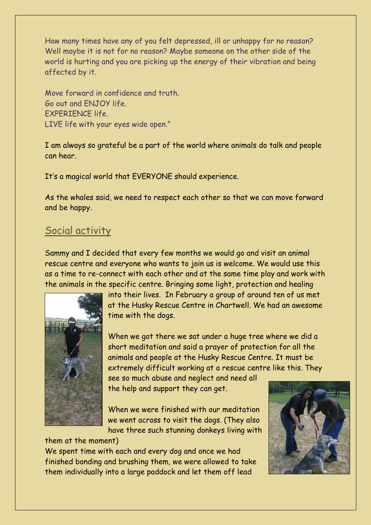How many times have any of you felt depressed, ill or unhappy for no reason? Well maybe it is not for no reason? Maybe someone on the other side of the world is hurting and you are picking up the energy of their vibration and being affected by it.

Move forward in confidence and truth. Go out and ENJOY life. EXPERIENCE life. LIVE life with your eyes wide open."

I am always so grateful be a part of the world where animals do talk and people can hear.

It's a magical world that EVERYONE should experience.

As the whales said, we need to respect each other so that we can move forward and be happy.

#### Social activity

Sammy and I decided that every few months we would go and visit an animal rescue centre and everyone who wants to join us is welcome. We would use this as a time to re-connect with each other and at the same time play and work with the animals in the specific centre. Bringing some light, protection and healing



into their lives. In February a group of around ten of us met at the Husky Rescue Centre in Chartwell. We had an awesome time with the dogs.

When we got there we sat under a huge tree where we did a short meditation and said a prayer of protection for all the animals and people at the Husky Rescue Centre. It must be extremely difficult working at a rescue centre like this. They

see so much abuse and neglect and need all the help and support they can get.

When we were finished with our meditation we went across to visit the dogs. (They also have three such stunning donkeys living with

them at the moment)

We spent time with each and every dog and once we had finished bonding and brushing them, we were allowed to take them individually into a large paddock and let them off lead

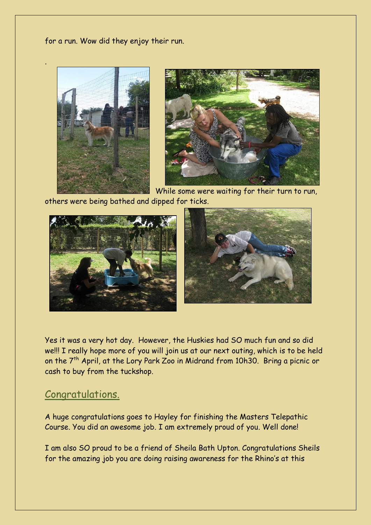for a run. Wow did they enjoy their run.



.



While some were waiting for their turn to run, others were being bathed and dipped for ticks.



Yes it was a very hot day. However, the Huskies had SO much fun and so did we!!! I really hope more of you will join us at our next outing, which is to be held on the  $7<sup>th</sup>$  April, at the Lory Park Zoo in Midrand from 10h30. Bring a picnic or cash to buy from the tuckshop.

#### Congratulations.

A huge congratulations goes to Hayley for finishing the Masters Telepathic Course. You did an awesome job. I am extremely proud of you. Well done!

I am also SO proud to be a friend of Sheila Bath Upton. Congratulations Sheils for the amazing job you are doing raising awareness for the Rhino's at this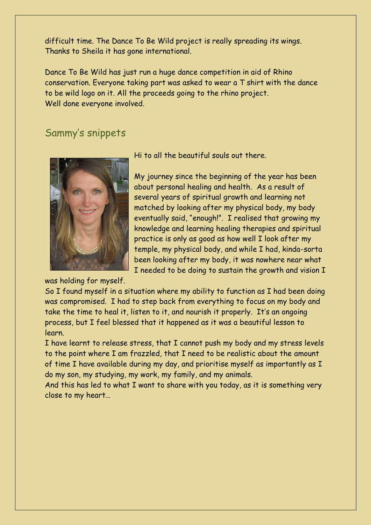difficult time. The Dance To Be Wild project is really spreading its wings. Thanks to Sheila it has gone international.

Dance To Be Wild has just run a huge dance competition in aid of Rhino conservation. Everyone taking part was asked to wear a T shirt with the dance to be wild logo on it. All the proceeds going to the rhino project. Well done everyone involved.

#### Sammy's snippets



was holding for myself.

Hi to all the beautiful souls out there.

My journey since the beginning of the year has been about personal healing and health. As a result of several years of spiritual growth and learning not matched by looking after my physical body, my body eventually said, "enough!". I realised that growing my knowledge and learning healing therapies and spiritual practice is only as good as how well I look after my temple, my physical body, and while I had, kinda-sorta been looking after my body, it was nowhere near what I needed to be doing to sustain the growth and vision I

So I found myself in a situation where my ability to function as I had been doing was compromised. I had to step back from everything to focus on my body and take the time to heal it, listen to it, and nourish it properly. It's an ongoing process, but I feel blessed that it happened as it was a beautiful lesson to learn.

I have learnt to release stress, that I cannot push my body and my stress levels to the point where I am frazzled, that I need to be realistic about the amount of time I have available during my day, and prioritise myself as importantly as I do my son, my studying, my work, my family, and my animals.

And this has led to what I want to share with you today, as it is something very close to my heart…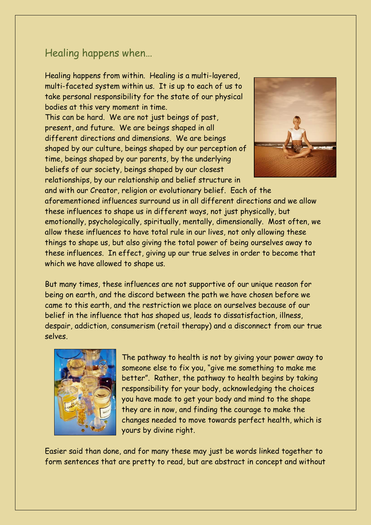## Healing happens when…

Healing happens from within. Healing is a multi-layered, multi-faceted system within us. It is up to each of us to take personal responsibility for the state of our physical bodies at this very moment in time.

This can be hard. We are not just beings of past, present, and future. We are beings shaped in all different directions and dimensions. We are beings shaped by our culture, beings shaped by our perception of time, beings shaped by our parents, by the underlying beliefs of our society, beings shaped by our closest relationships, by our relationship and belief structure in



and with our Creator, religion or evolutionary belief. Each of the aforementioned influences surround us in all different directions and we allow these influences to shape us in different ways, not just physically, but emotionally, psychologically, spiritually, mentally, dimensionally. Most often, we allow these influences to have total rule in our lives, not only allowing these things to shape us, but also giving the total power of being ourselves away to these influences. In effect, giving up our true selves in order to become that which we have allowed to shape us.

But many times, these influences are not supportive of our unique reason for being on earth, and the discord between the path we have chosen before we came to this earth, and the restriction we place on ourselves because of our belief in the influence that has shaped us, leads to dissatisfaction, illness, despair, addiction, consumerism (retail therapy) and a disconnect from our true selves.



The pathway to health is not by giving your power away to someone else to fix you, "give me something to make me better". Rather, the pathway to health begins by taking responsibility for your body, acknowledging the choices you have made to get your body and mind to the shape they are in now, and finding the courage to make the changes needed to move towards perfect health, which is yours by divine right.

Easier said than done, and for many these may just be words linked together to form sentences that are pretty to read, but are abstract in concept and without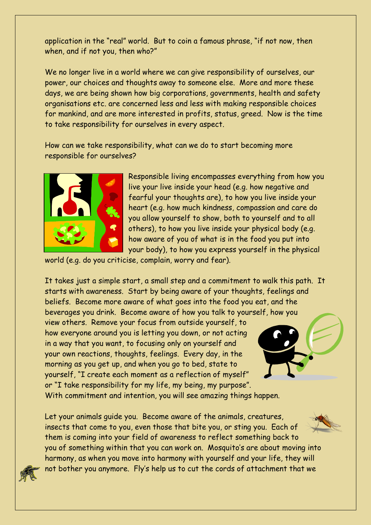application in the "real" world. But to coin a famous phrase, "if not now, then when, and if not you, then who?"

We no longer live in a world where we can give responsibility of ourselves, our power, our choices and thoughts away to someone else. More and more these days, we are being shown how big corporations, governments, health and safety organisations etc. are concerned less and less with making responsible choices for mankind, and are more interested in profits, status, greed. Now is the time to take responsibility for ourselves in every aspect.

How can we take responsibility, what can we do to start becoming more responsible for ourselves?



Responsible living encompasses everything from how you live your live inside your head (e.g. how negative and fearful your thoughts are), to how you live inside your heart (e.g. how much kindness, compassion and care do you allow yourself to show, both to yourself and to all others), to how you live inside your physical body (e.g. how aware of you of what is in the food you put into your body), to how you express yourself in the physical

world (e.g. do you criticise, complain, worry and fear).

It takes just a simple start, a small step and a commitment to walk this path. It starts with awareness. Start by being aware of your thoughts, feelings and beliefs. Become more aware of what goes into the food you eat, and the beverages you drink. Become aware of how you talk to yourself, how you

view others. Remove your focus from outside yourself, to how everyone around you is letting you down, or not acting in a way that you want, to focusing only on yourself and your own reactions, thoughts, feelings. Every day, in the morning as you get up, and when you go to bed, state to yourself, "I create each moment as a reflection of myself" or "I take responsibility for my life, my being, my purpose".



With commitment and intention, you will see amazing things happen.

Let your animals quide you. Become aware of the animals, creatures, insects that come to you, even those that bite you, or sting you. Each of them is coming into your field of awareness to reflect something back to you of something within that you can work on. Mosquito's are about moving into harmony, as when you move into harmony with yourself and your life, they will not bother you anymore. Fly's help us to cut the cords of attachment that we